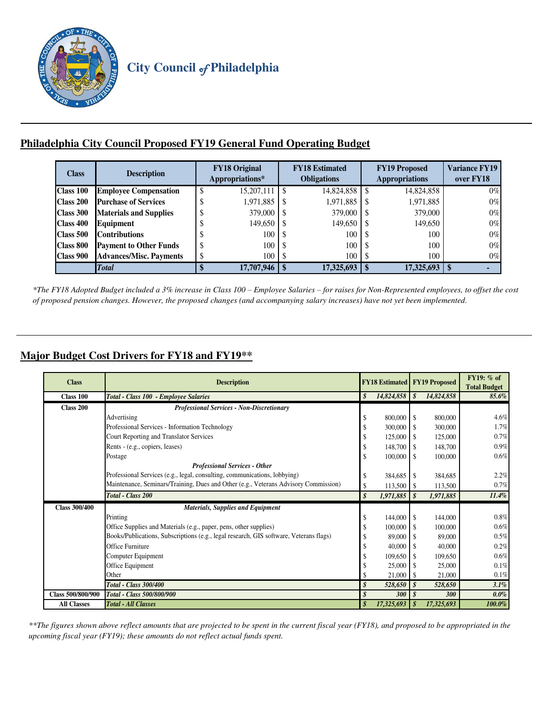

## **Philadelphia City Council Proposed FY19 General Fund Operating Budget**

| <b>Class</b>     | <b>Description</b>             | <b>FY18 Original</b><br>Appropriations* |               | <b>FY18 Estimated</b><br><b>Obligations</b> | <b>FY19 Proposed</b><br><b>Appropriations</b> | <b>Variance FY19</b><br>over FY18 |  |  |
|------------------|--------------------------------|-----------------------------------------|---------------|---------------------------------------------|-----------------------------------------------|-----------------------------------|--|--|
| Class 100        | <b>Employee Compensation</b>   | \$<br>15.207.111                        | <sup>\$</sup> | 14,824,858                                  | 14,824,858                                    | $0\%$                             |  |  |
| Class 200        | <b>Purchase of Services</b>    | 1,971,885<br>\$                         | <sup>\$</sup> | 1,971,885                                   | 1,971,885                                     | $0\%$                             |  |  |
| Class 300        | <b>Materials and Supplies</b>  | 379,000<br>\$                           | <sup>\$</sup> | 379,000                                     | 379,000                                       | $0\%$                             |  |  |
| Class 400        | Equipment                      | 149,650<br>J                            | -S            | 149,650                                     | 149,650                                       | $0\%$                             |  |  |
| <b>Class 500</b> | <b>Contributions</b>           | 100<br>S                                | -S            | 100                                         | 100                                           | $0\%$                             |  |  |
| <b>Class 800</b> | <b>Payment to Other Funds</b>  | 100<br>\$                               | <sup>\$</sup> | 100                                         | 100                                           | $0\%$                             |  |  |
| Class 900        | <b>Advances/Misc. Payments</b> | 100<br>\$                               | S             | 100                                         | 100                                           | $0\%$                             |  |  |
|                  | <b>Total</b>                   | 17,707,946                              |               | 17,325,693                                  | 17,325,693                                    |                                   |  |  |

*\*The FY18 Adopted Budget included a 3% increase in Class 100 – Employee Salaries – for raises for Non-Represented employees, to offset the cost of proposed pension changes. However, the proposed changes (and accompanying salary increases) have not yet been implemented.* 

## **Major Budget Cost Drivers for FY18 and FY19\*\***

| <b>Class</b>         | <b>Description</b>                                                                     |    | <b>FY18 Estimated</b> |                  | <b>FY19 Proposed</b> | FY19: % of<br><b>Total Budget</b> |  |
|----------------------|----------------------------------------------------------------------------------------|----|-----------------------|------------------|----------------------|-----------------------------------|--|
| Class 100            | Total - Class 100 - Employee Salaries                                                  | \$ | $14,824,858$ \$       |                  | 14,824,858           | 85.6%                             |  |
| Class 200            | <b>Professional Services - Non-Discretionary</b>                                       |    |                       |                  |                      |                                   |  |
|                      | Advertising                                                                            | \$ | 800,000 \$            |                  | 800,000              | 4.6%                              |  |
|                      | Professional Services - Information Technology                                         | \$ | 300,000               | <b>S</b>         | 300,000              | 1.7%                              |  |
|                      | Court Reporting and Translator Services                                                | \$ | 125,000               | <b>S</b>         | 125,000              | 0.7%                              |  |
|                      | Rents - (e.g., copiers, leases)                                                        | \$ | 148,700               | <b>S</b>         | 148,700              | 0.9%                              |  |
|                      | Postage                                                                                | \$ | $100,000$ \$          |                  | 100,000              | 0.6%                              |  |
|                      | <b>Professional Services - Other</b>                                                   |    |                       |                  |                      |                                   |  |
|                      | Professional Services (e.g., legal, consulting, communications, lobbying)              | \$ | 384,685               | -S               | 384,685              | 2.2%                              |  |
|                      | Maintenance, Seminars/Training, Dues and Other (e.g., Veterans Advisory Commission)    | \$ | $113,500$ \$          |                  | 113,500              | 0.7%                              |  |
|                      | Total - Class 200                                                                      | \$ | $1,971,885$ \$        |                  | 1,971,885            | 11.4%                             |  |
| <b>Class 300/400</b> | <b>Materials, Supplies and Equipment</b>                                               |    |                       |                  |                      |                                   |  |
|                      | Printing                                                                               | \$ | $144,000$ \$          |                  | 144,000              | $0.8\%$                           |  |
|                      | Office Supplies and Materials (e.g., paper, pens, other supplies)                      | \$ | 100,000               | l \$             | 100,000              | 0.6%                              |  |
|                      | Books/Publications, Subscriptions (e.g., legal research, GIS software, Veterans flags) | \$ | 89,000                | l \$             | 89,000               | 0.5%                              |  |
|                      | Office Furniture                                                                       | \$ | 40,000                | - \$             | 40,000               | 0.2%                              |  |
|                      | Computer Equipment                                                                     | \$ | 109,650               | - \$             | 109,650              | 0.6%                              |  |
|                      | Office Equipment                                                                       |    | 25,000                | - \$             | 25,000               | 0.1%                              |  |
|                      | Other                                                                                  |    | $21,000$ \$           |                  | 21,000               | 0.1%                              |  |
|                      | Total - Class 300/400                                                                  | \$ | 528,650               | \$               | 528,650              | $3.1\%$                           |  |
| Class 500/800/900    | Total - Class 500/800/900                                                              |    | 300                   | $\boldsymbol{s}$ | 300                  | $0.0\%$                           |  |
| <b>All Classes</b>   | <b>Total - All Classes</b>                                                             |    | 17,325,693            | - \$             | 17,325,693           | 100.0%                            |  |

*\*\*The figures shown above reflect amounts that are projected to be spent in the current fiscal year (FY18), and proposed to be appropriated in the upcoming fiscal year (FY19); these amounts do not reflect actual funds spent.*